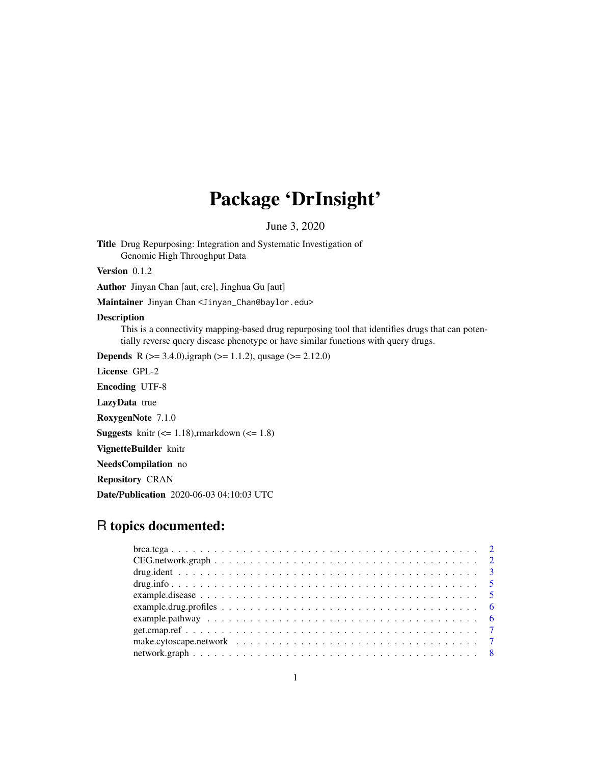# Package 'DrInsight'

June 3, 2020

Title Drug Repurposing: Integration and Systematic Investigation of Genomic High Throughput Data

Version 0.1.2

Author Jinyan Chan [aut, cre], Jinghua Gu [aut]

Maintainer Jinyan Chan <Jinyan\_Chan@baylor.edu>

#### Description

This is a connectivity mapping-based drug repurposing tool that identifies drugs that can potentially reverse query disease phenotype or have similar functions with query drugs.

**Depends** R ( $>= 3.4.0$ ),igraph ( $>= 1.1.2$ ), qusage ( $>= 2.12.0$ )

License GPL-2

Encoding UTF-8

LazyData true

RoxygenNote 7.1.0

**Suggests** knitr  $\left(\leq 1.18\right)$ , rmarkdown  $\left(\leq 1.8\right)$ 

VignetteBuilder knitr

NeedsCompilation no

Repository CRAN

Date/Publication 2020-06-03 04:10:03 UTC

# R topics documented:

| $bra. tega 2$ |  |
|---------------|--|
|               |  |
|               |  |
|               |  |
|               |  |
|               |  |
|               |  |
|               |  |
|               |  |
|               |  |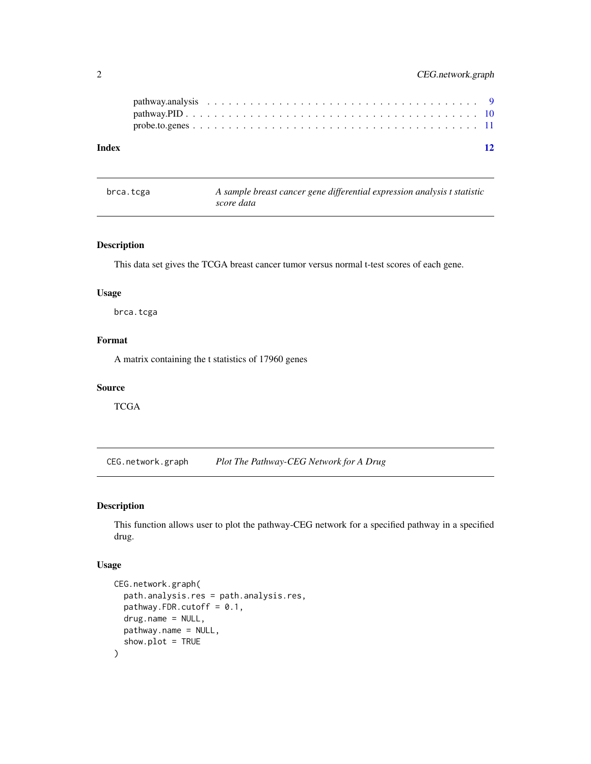<span id="page-1-0"></span>

| Index | 12 |
|-------|----|
|       |    |
|       |    |

brca.tcga *A sample breast cancer gene differential expression analysis t statistic score data*

# Description

This data set gives the TCGA breast cancer tumor versus normal t-test scores of each gene.

## Usage

brca.tcga

# Format

A matrix containing the t statistics of 17960 genes

### Source

**TCGA** 

CEG.network.graph *Plot The Pathway-CEG Network for A Drug*

### Description

This function allows user to plot the pathway-CEG network for a specified pathway in a specified drug.

#### Usage

```
CEG.network.graph(
  path.analysis.res = path.analysis.res,
  pathway.FDR.cutoff = 0.1,
  drug.name = NULL,
 pathway.name = NULL,
  show.plot = TRUE
\mathcal{E}
```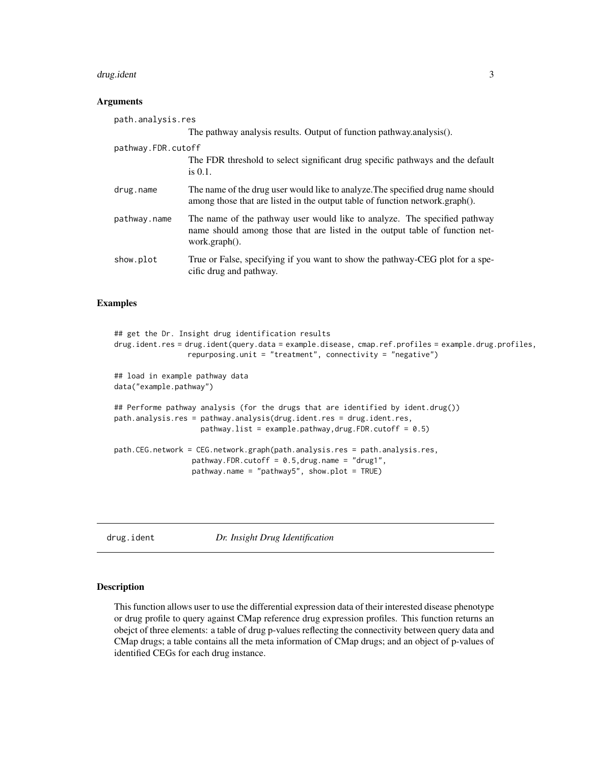#### <span id="page-2-0"></span>drug.ident 30  $\,$  30  $\,$  30  $\,$  30  $\,$  30  $\,$  30  $\,$  30  $\,$  30  $\,$  30  $\,$  30  $\,$  30  $\,$  30  $\,$  30  $\,$  30  $\,$  30  $\,$  30  $\,$  30  $\,$  30  $\,$  30  $\,$  30  $\,$  30  $\,$  30  $\,$  30  $\,$  30  $\,$  30  $\,$  30  $\,$  30

#### **Arguments**

| path.analysis.res  |                                                                                                                                                                            |
|--------------------|----------------------------------------------------------------------------------------------------------------------------------------------------------------------------|
|                    | The pathway analysis results. Output of function pathway.analysis().                                                                                                       |
| pathway.FDR.cutoff | The FDR threshold to select significant drug specific pathways and the default<br>is $0.1$ .                                                                               |
| drug.name          | The name of the drug user would like to analyze. The specified drug name should<br>among those that are listed in the output table of function network.graph().            |
| pathway.name       | The name of the pathway user would like to analyze. The specified pathway<br>name should among those that are listed in the output table of function net-<br>work.graph(). |
| show.plot          | True or False, specifying if you want to show the pathway-CEG plot for a spe-<br>cific drug and pathway.                                                                   |

# Examples

```
## get the Dr. Insight drug identification results
drug.ident.res = drug.ident(query.data = example.disease, cmap.ref.profiles = example.drug.profiles,
                 repurposing.unit = "treatment", connectivity = "negative")
## load in example pathway data
data("example.pathway")
## Performe pathway analysis (for the drugs that are identified by ident.drug())
path.analysis.res = pathway.analysis(drug.ident.res = drug.ident.res,
                    pathway.list = example.pathway, drug.FDR.cutoff = 0.5)path.CEG.network = CEG.network.graph(path.analysis.res = path.analysis.res,
                  pathway.FDR.cutoff = 0.5, drug.name = "drug1",
                  pathway.name = "pathway5", show.plot = TRUE)
```
drug.ident *Dr. Insight Drug Identification*

#### Description

This function allows user to use the differential expression data of their interested disease phenotype or drug profile to query against CMap reference drug expression profiles. This function returns an obejct of three elements: a table of drug p-values reflecting the connectivity between query data and CMap drugs; a table contains all the meta information of CMap drugs; and an object of p-values of identified CEGs for each drug instance.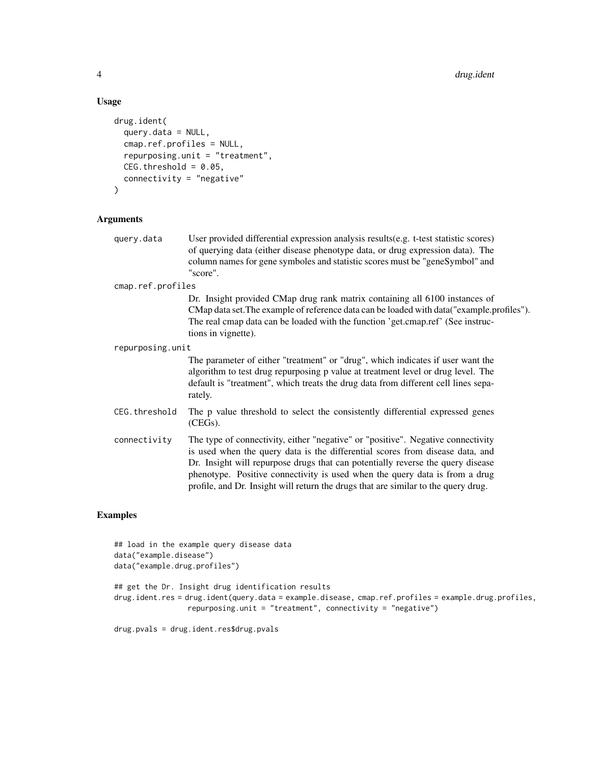#### Usage

```
drug.ident(
  query.data = NULL,cmap.ref.profiles = NULL,
  repurposing.unit = "treatment",
  CEG.threshold = 0.05,
  connectivity = "negative"
)
```
### **Arguments**

query.data User provided differential expression analysis results(e.g. t-test statistic scores) of querying data (either disease phenotype data, or drug expression data). The column names for gene symboles and statistic scores must be "geneSymbol" and "score".

cmap.ref.profiles

Dr. Insight provided CMap drug rank matrix containing all 6100 instances of CMap data set.The example of reference data can be loaded with data("example.profiles"). The real cmap data can be loaded with the function 'get.cmap.ref' (See instructions in vignette).

repurposing.unit

The parameter of either "treatment" or "drug", which indicates if user want the algorithm to test drug repurposing p value at treatment level or drug level. The default is "treatment", which treats the drug data from different cell lines separately.

- CEG.threshold The p value threshold to select the consistently differential expressed genes (CEGs).
- connectivity The type of connectivity, either "negative" or "positive". Negative connectivity is used when the query data is the differential scores from disease data, and Dr. Insight will repurpose drugs that can potentially reverse the query disease phenotype. Positive connectivity is used when the query data is from a drug profile, and Dr. Insight will return the drugs that are similar to the query drug.

#### Examples

```
## load in the example query disease data
data("example.disease")
data("example.drug.profiles")
## get the Dr. Insight drug identification results
drug.ident.res = drug.ident(query.data = example.disease, cmap.ref.profiles = example.drug.profiles,
                 repurposing.unit = "treatment", connectivity = "negative")
```
drug.pvals = drug.ident.res\$drug.pvals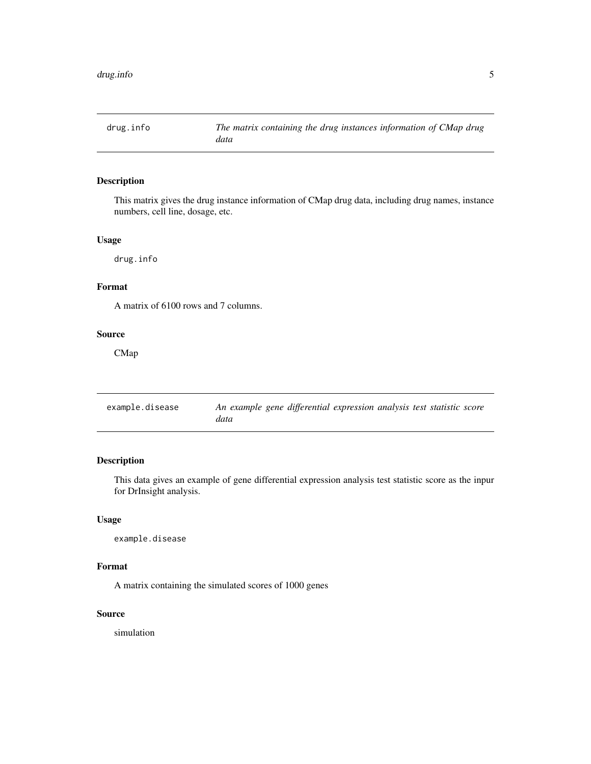<span id="page-4-0"></span>

# Description

This matrix gives the drug instance information of CMap drug data, including drug names, instance numbers, cell line, dosage, etc.

# Usage

drug.info

# Format

A matrix of 6100 rows and 7 columns.

### Source

CMap

| example.disease | An example gene differential expression analysis test statistic score |
|-----------------|-----------------------------------------------------------------------|
|                 | data                                                                  |

# Description

This data gives an example of gene differential expression analysis test statistic score as the inpur for DrInsight analysis.

### Usage

example.disease

### Format

A matrix containing the simulated scores of 1000 genes

#### Source

simulation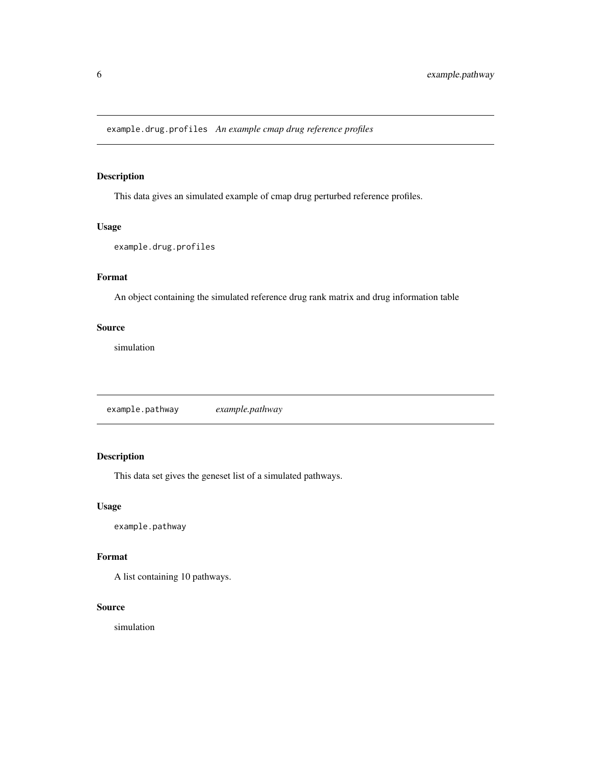<span id="page-5-0"></span>example.drug.profiles *An example cmap drug reference profiles*

# Description

This data gives an simulated example of cmap drug perturbed reference profiles.

#### Usage

example.drug.profiles

# Format

An object containing the simulated reference drug rank matrix and drug information table

### Source

simulation

example.pathway *example.pathway*

# Description

This data set gives the geneset list of a simulated pathways.

# Usage

example.pathway

# Format

A list containing 10 pathways.

#### Source

simulation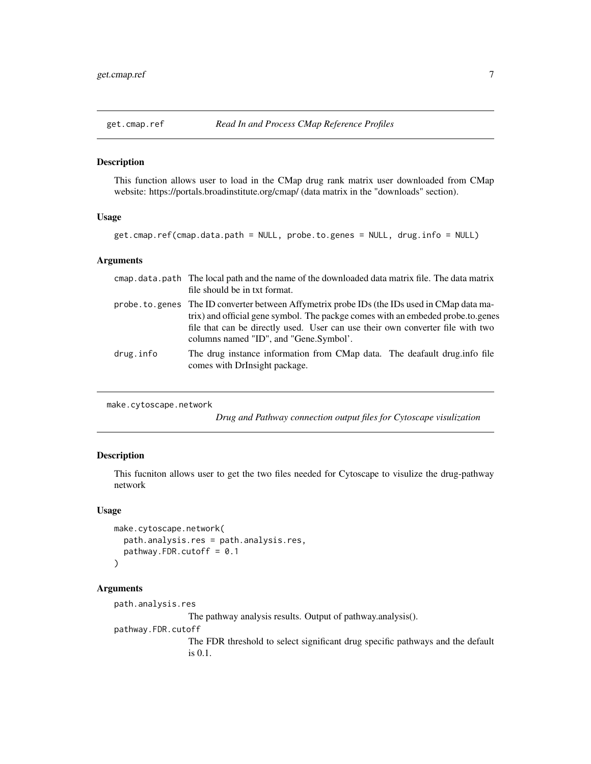<span id="page-6-0"></span>

#### Description

This function allows user to load in the CMap drug rank matrix user downloaded from CMap website: https://portals.broadinstitute.org/cmap/ (data matrix in the "downloads" section).

# Usage

```
get.cmap.ref(cmap.data.path = NULL, probe.to.genes = NULL, drug.info = NULL)
```
# Arguments

|           | cmap data path The local path and the name of the downloaded data matrix file. The data matrix<br>file should be in txt format.                                                                                                                                                                                |
|-----------|----------------------------------------------------------------------------------------------------------------------------------------------------------------------------------------------------------------------------------------------------------------------------------------------------------------|
|           | probe . to . genes The ID converter between Affymetrix probe IDs (the IDs used in CMap data ma-<br>trix) and official gene symbol. The packge comes with an embeded probe.to.genes<br>file that can be directly used. User can use their own converter file with two<br>columns named "ID", and "Gene.Symbol'. |
| drug.info | The drug instance information from CMap data. The deafault drug. info file<br>comes with DrInsight package.                                                                                                                                                                                                    |

```
make.cytoscape.network
```
*Drug and Pathway connection output files for Cytoscape visulization*

# Description

This fucniton allows user to get the two files needed for Cytoscape to visulize the drug-pathway network

#### Usage

```
make.cytoscape.network(
  path.analysis.res = path.analysis.res,
  pathway.FDR.cutoff = 0.1
)
```
#### Arguments

```
path.analysis.res
                  The pathway analysis results. Output of pathway.analysis().
pathway.FDR.cutoff
                  The FDR threshold to select significant drug specific pathways and the default
                  is 0.1.
```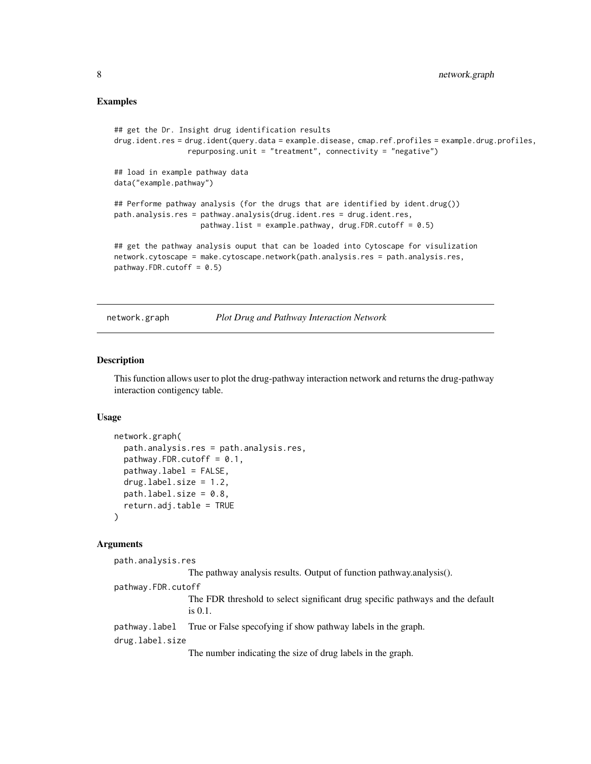#### <span id="page-7-0"></span>Examples

```
## get the Dr. Insight drug identification results
drug.ident.res = drug.ident(query.data = example.disease, cmap.ref.profiles = example.drug.profiles,
                 repurposing.unit = "treatment", connectivity = "negative")
## load in example pathway data
data("example.pathway")
## Performe pathway analysis (for the drugs that are identified by ident.drug())
path.analysis.res = pathway.analysis(drug.ident.res = drug.ident.res,
                    pathway.list = example.pathway, drug.FDR.cutoff = 0.5)
## get the pathway analysis ouput that can be loaded into Cytoscape for visulization
network.cytoscape = make.cytoscape.network(path.analysis.res = path.analysis.res,
pathway.FDR.cutoff = 0.5)
```
network.graph *Plot Drug and Pathway Interaction Network*

#### Description

This function allows user to plot the drug-pathway interaction network and returns the drug-pathway interaction contigency table.

#### Usage

```
network.graph(
  path.analysis.res = path.analysis.res,
  pathway.FDR.cutoff = 0.1,
  pathway.label = FALSE,
  drug.label.size = 1.2,
  path.label.size = 0.8,
  return.adj.table = TRUE
)
```
#### Arguments

```
path.analysis.res
                  The pathway analysis results. Output of function pathway.analysis().
pathway.FDR.cutoff
                  The FDR threshold to select significant drug specific pathways and the default
                  is 0.1.
pathway.label True or False specofying if show pathway labels in the graph.
drug.label.size
                  The number indicating the size of drug labels in the graph.
```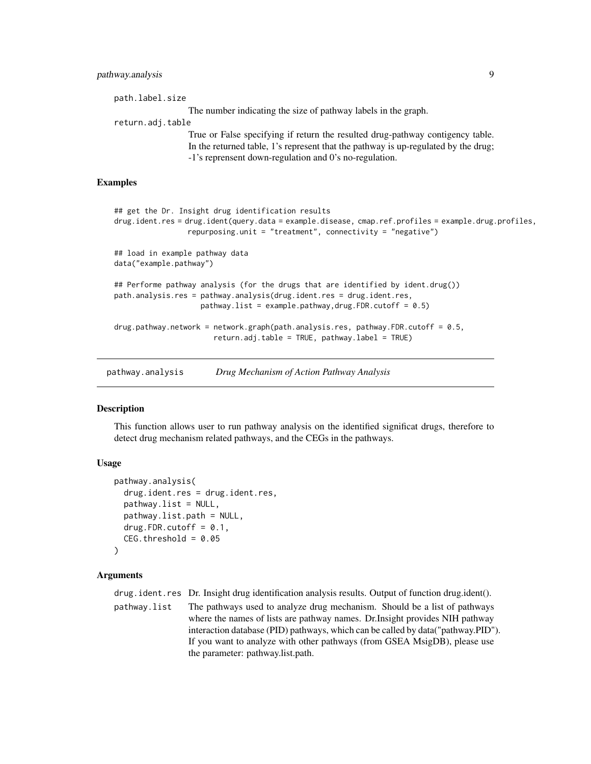# <span id="page-8-0"></span>pathway.analysis 9

path.label.size The number indicating the size of pathway labels in the graph. return.adj.table True or False specifying if return the resulted drug-pathway contigency table. In the returned table, 1's represent that the pathway is up-regulated by the drug; -1's reprensent down-regulation and 0's no-regulation.

#### Examples

```
## get the Dr. Insight drug identification results
drug.ident.res = drug.ident(query.data = example.disease, cmap.ref.profiles = example.drug.profiles,
                 repurposing.unit = "treatment", connectivity = "negative")
## load in example pathway data
data("example.pathway")
## Performe pathway analysis (for the drugs that are identified by ident.drug())
path.analysis.res = pathway.analysis(drug.ident.res = drug.ident.res,
                    pathway.list = example.pathway,drug.FDR.cutoff = 0.5)
drug.pathway.network = network.graph(path.analysis.res, pathway.FDR.cutoff = 0.5,
                       return.adj.table = TRUE, pathway.label = TRUE)
```
pathway.analysis *Drug Mechanism of Action Pathway Analysis*

#### **Description**

This function allows user to run pathway analysis on the identified significat drugs, therefore to detect drug mechanism related pathways, and the CEGs in the pathways.

#### Usage

```
pathway.analysis(
  drug.ident.res = drug.ident.res,
  pathway.list = NULL,
  pathway.list.path = NULL,
  drug.FDR.cutoff = 0.1,
  CEG.threshold = 0.05
)
```
#### Arguments

drug.ident.res Dr. Insight drug identification analysis results. Output of function drug.ident().

```
pathway.list The pathways used to analyze drug mechanism. Should be a list of pathways
                  where the names of lists are pathway names. Dr.Insight provides NIH pathway
                  interaction database (PID) pathways, which can be called by data("pathway.PID").
                  If you want to analyze with other pathways (from GSEA MsigDB), please use
                  the parameter: pathway.list.path.
```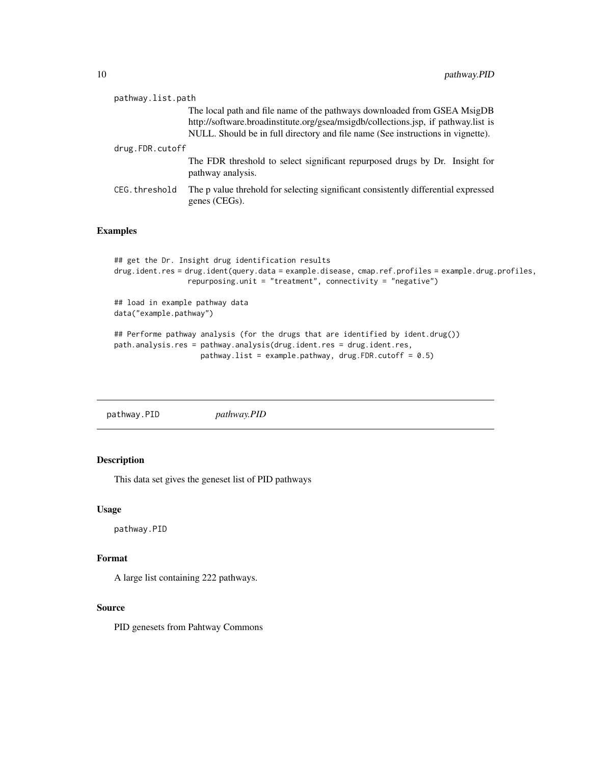<span id="page-9-0"></span>

| pathway.list.path |                                                                                                                                                                                                                                                   |  |
|-------------------|---------------------------------------------------------------------------------------------------------------------------------------------------------------------------------------------------------------------------------------------------|--|
|                   | The local path and file name of the pathways downloaded from GSEA MsigDB<br>http://software.broadinstitute.org/gsea/msigdb/collections.jsp, if pathway.list is<br>NULL. Should be in full directory and file name (See instructions in vignette). |  |
| drug.FDR.cutoff   |                                                                                                                                                                                                                                                   |  |
|                   | The FDR threshold to select significant repurposed drugs by Dr. Insight for<br>pathway analysis.                                                                                                                                                  |  |
| CEG.threshold     | The p value threhold for selecting significant consistently differential expressed<br>genes (CEGs).                                                                                                                                               |  |

# Examples

```
## get the Dr. Insight drug identification results
drug.ident.res = drug.ident(query.data = example.disease, cmap.ref.profiles = example.drug.profiles,
                 repurposing.unit = "treatment", connectivity = "negative")
## load in example pathway data
```

```
data("example.pathway")
```

```
## Performe pathway analysis (for the drugs that are identified by ident.drug())
path.analysis.res = pathway.analysis(drug.ident.res = drug.ident.res,
                   pathway.list = example.pathway, drug.FDR.cutoff = 0.5)
```
pathway.PID *pathway.PID*

# Description

This data set gives the geneset list of PID pathways

#### Usage

pathway.PID

# Format

A large list containing 222 pathways.

#### Source

PID genesets from Pahtway Commons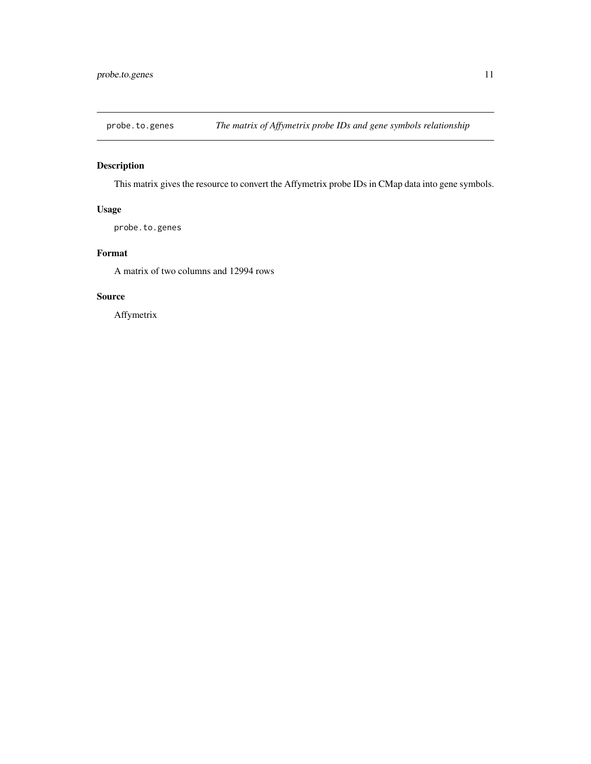<span id="page-10-0"></span>

# Description

This matrix gives the resource to convert the Affymetrix probe IDs in CMap data into gene symbols.

# Usage

probe.to.genes

# Format

A matrix of two columns and 12994 rows

# Source

Affymetrix